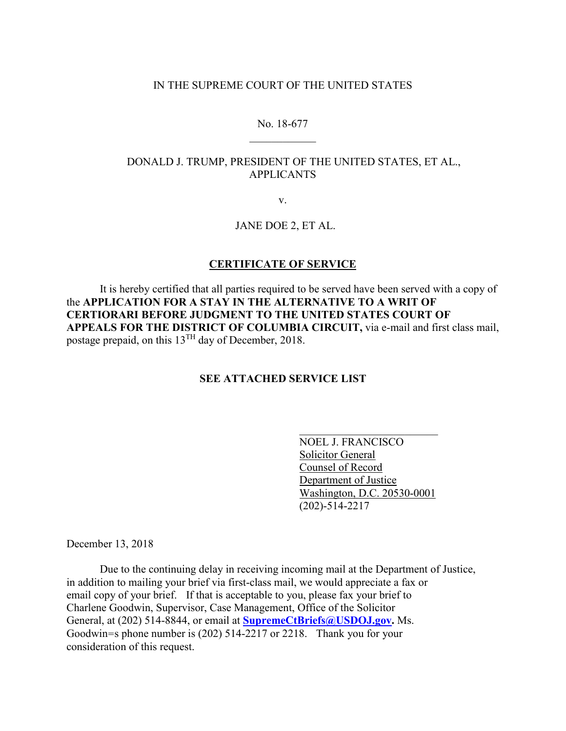#### IN THE SUPREME COURT OF THE UNITED STATES

# No. 18-677  $\frac{1}{2}$  ,  $\frac{1}{2}$  ,  $\frac{1}{2}$  ,  $\frac{1}{2}$  ,  $\frac{1}{2}$  ,  $\frac{1}{2}$

## DONALD J. TRUMP, PRESIDENT OF THE UNITED STATES, ET AL., APPLICANTS

v.

## JANE DOE 2, ET AL.

### **CERTIFICATE OF SERVICE**

It is hereby certified that all parties required to be served have been served with a copy of the **APPLICATION FOR A STAY IN THE ALTERNATIVE TO A WRIT OF CERTIORARI BEFORE JUDGMENT TO THE UNITED STATES COURT OF APPEALS FOR THE DISTRICT OF COLUMBIA CIRCUIT,** via e-mail and first class mail, postage prepaid, on this 13TH day of December, 2018.

## **SEE ATTACHED SERVICE LIST**

NOEL J. FRANCISCO Solicitor General Counsel of Record Department of Justice Washington, D.C. 20530-0001 (202)-514-2217

\_\_\_\_\_\_\_\_\_\_\_\_\_\_\_\_\_\_\_\_\_\_\_\_\_

December 13, 2018

Due to the continuing delay in receiving incoming mail at the Department of Justice, in addition to mailing your brief via first-class mail, we would appreciate a fax or email copy of your brief. If that is acceptable to you, please fax your brief to Charlene Goodwin, Supervisor, Case Management, Office of the Solicitor General, at (202) 514-8844, or email at **SupremeCtBriefs@USDOJ.gov.** Ms. Goodwin=s phone number is (202) 514-2217 or 2218. Thank you for your consideration of this request.